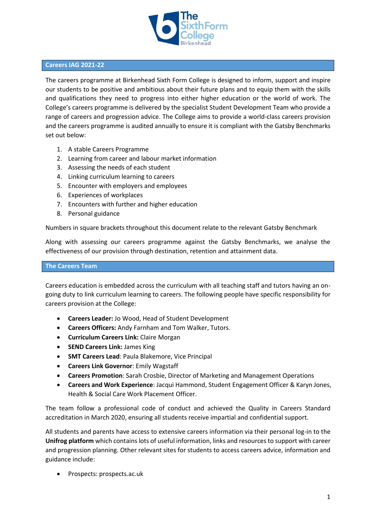

#### **Careers IAG 2021-22**

The careers programme at Birkenhead Sixth Form College is designed to inform, support and inspire our students to be positive and ambitious about their future plans and to equip them with the skills and qualifications they need to progress into either higher education or the world of work. The College's careers programme is delivered by the specialist Student Development Team who provide a range of careers and progression advice. The College aims to provide a world-class careers provision and the careers programme is audited annually to ensure it is compliant with the Gatsby Benchmarks set out below:

- 1. A stable Careers Programme
- 2. Learning from career and labour market information
- 3. Assessing the needs of each student
- 4. Linking curriculum learning to careers
- 5. Encounter with employers and employees
- 6. Experiences of workplaces
- 7. Encounters with further and higher education
- 8. Personal guidance

Numbers in square brackets throughout this document relate to the relevant Gatsby Benchmark

Along with assessing our careers programme against the Gatsby Benchmarks, we analyse the effectiveness of our provision through destination, retention and attainment data.

#### **The Careers Team**

Careers education is embedded across the curriculum with all teaching staff and tutors having an ongoing duty to link curriculum learning to careers. The following people have specific responsibility for careers provision at the College:

- **Careers Leader:** Jo Wood, Head of Student Development
- **Careers Officers:** Andy Farnham and Tom Walker, Tutors.
- **Curriculum Careers Link:** Claire Morgan
- **SEND Careers Link:** James King
- **SMT Careers Lead**: Paula Blakemore, Vice Principal
- **Careers Link Governor**: Emily Wagstaff
- **Careers Promotion**: Sarah Crosbie, Director of Marketing and Management Operations
- **Careers and Work Experience**: Jacqui Hammond, Student Engagement Officer & Karyn Jones, Health & Social Care Work Placement Officer.

The team follow a professional code of conduct and achieved the Quality in Careers Standard accreditation in March 2020, ensuring all students receive impartial and confidential support.

All students and parents have access to extensive careers information via their personal log-in to the **Unifrog platform** which contains lots of useful information, links and resources to support with career and progression planning. Other relevant sites for students to access careers advice, information and guidance include:

• Prospects: prospects.ac.uk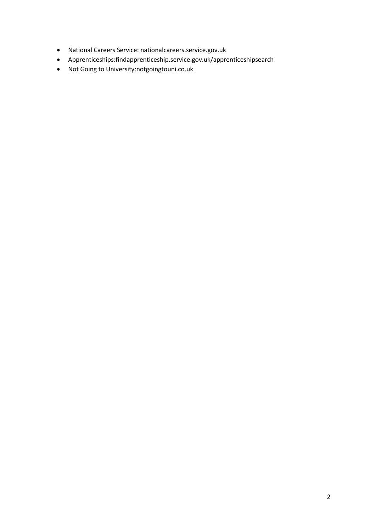- National Careers Service: nationalcareers.service.gov.uk
- Apprenticeships:findapprenticeship.service.gov.uk/apprenticeshipsearch
- Not Going to University:notgoingtouni.co.uk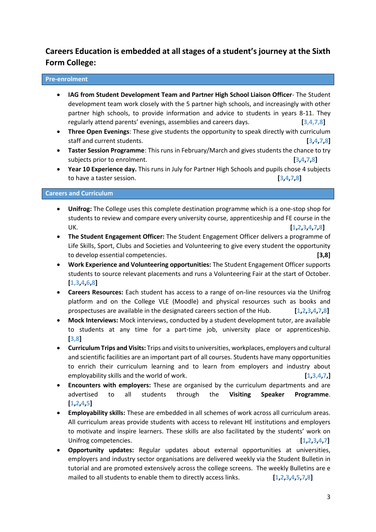# **Careers Education is embedded at all stages of a student's journey at the Sixth Form College:**

## **Pre-enrolment**

- **IAG from Student Development Team and Partner High School Liaison Officer** The Student development team work closely with the 5 partner high schools, and increasingly with other partner high schools, to provide information and advice to students in years 8-11. They regularly attend parents' evenings, assemblies and careers days. **[3,4,7,8]**
- **Three Open Evenings**: These give students the opportunity to speak directly with curriculum staff and current students. **[3,4,7,8]**
- **Taster Session Programme**: This runs in February/March and gives students the chance to try subjects prior to enrolment. **[3,4,7,8]**
- **Year 10 Experience day.** This runs in July for Partner High Schools and pupils chose 4 subjects to have a taster session. **[3,4,7,8]**

#### **Careers and Curriculum**

- **Unifrog:** The College uses this complete destination programme which is a one-stop shop for students to review and compare every university course, apprenticeship and FE course in the UK. **[1,2,3,4,7,8]**
- **The Student Engagement Officer:** The Student Engagement Officer delivers a programme of Life Skills, Sport, Clubs and Societies and Volunteering to give every student the opportunity to develop essential competencies. **[3,8]**
- **Work Experience and Volunteering opportunities:** The Student Engagement Officer supports students to source relevant placements and runs a Volunteering Fair at the start of October. **[1,3,4,6,8]**
- **Careers Resources:** Each student has access to a range of on-line resources via the Unifrog platform and on the College VLE (Moodle) and physical resources such as books and prospectuses are available in the designated careers section of the Hub. **[1,2,3,4,7,8]**
- **Mock Interviews:** Mock interviews, conducted by a student development tutor, are available to students at any time for a part-time job, university place or apprenticeship. **[3,8]**
- **Curriculum Trips and Visits:** Trips and visits to universities, workplaces, employers and cultural and scientific facilities are an important part of all courses. Students have many opportunities to enrich their curriculum learning and to learn from employers and industry about employability skills and the world of work. **[1,3,4,7,]**
- **Encounters with employers:** These are organised by the curriculum departments and are advertised to all students through the **Visiting Speaker Programme**. **[1,2,4,5]**
- **Employability skills:** These are embedded in all schemes of work across all curriculum areas. All curriculum areas provide students with access to relevant HE institutions and employers to motivate and inspire learners. These skills are also facilitated by the students' work on Unifrog competencies. *[1,2,3,4,7] Exercises*
- **Opportunity updates:** Regular updates about external opportunities at universities, employers and industry sector organisations are delivered weekly via the Student Bulletin in tutorial and are promoted extensively across the college screens. The weekly Bulletins are e mailed to all students to enable them to directly access links. **[1,2,3,4,5,7,8]**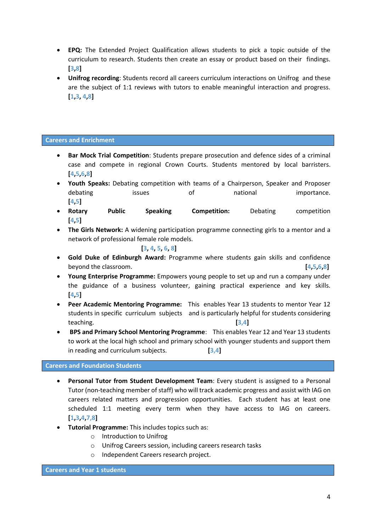- **EPQ:** The Extended Project Qualification allows students to pick a topic outside of the curriculum to research. Students then create an essay or product based on their findings. **[3,8]**
- **Unifrog recording**: Students record all careers curriculum interactions on Unifrog and these are the subject of 1:1 reviews with tutors to enable meaningful interaction and progress. **[1,3, 4,8]**

#### **Careers and Enrichment**

- **Bar Mock Trial Competition**: Students prepare prosecution and defence sides of a criminal case and compete in regional Crown Courts. Students mentored by local barristers. **[4,5,6,8]**
- **Youth Speaks:** Debating competition with teams of a Chairperson, Speaker and Proposer debating issues of national importance. **[4,5]**
- **Rotary Public Speaking Competition:** Debating competition **[4,5]**
- **The Girls Network:** A widening participation programme connecting girls to a mentor and a network of professional female role models.

**[3, 4, 5, 6, 8]**

- **Gold Duke of Edinburgh Award:** Programme where students gain skills and confidence beyond the classroom. **[4,5,6,8]**
- **Young Enterprise Programme:** Empowers young people to set up and run a company under the guidance of a business volunteer, gaining practical experience and key skills. **[4,5]**
- **Peer Academic Mentoring Programme:** This enables Year 13 students to mentor Year 12 students in specific curriculum subjects and is particularly helpful for students considering teaching. **[3,4]**
- **BPS and Primary School Mentoring Programme**: This enables Year 12 and Year 13 students to work at the local high school and primary school with younger students and support them in reading and curriculum subjects. **[3,4]**

#### **Careers and Foundation Students**

- **Personal Tutor from Student Development Team**: Every student is assigned to a Personal Tutor (non-teaching member of staff) who will track academic progress and assist with IAG on careers related matters and progression opportunities. Each student has at least one scheduled 1:1 meeting every term when they have access to IAG on careers. **[1,3,4,7,8]**
- **Tutorial Programme:** This includes topics such as:
	- o Introduction to Unifrog
	- o Unifrog Careers session, including careers research tasks
	- o Independent Careers research project.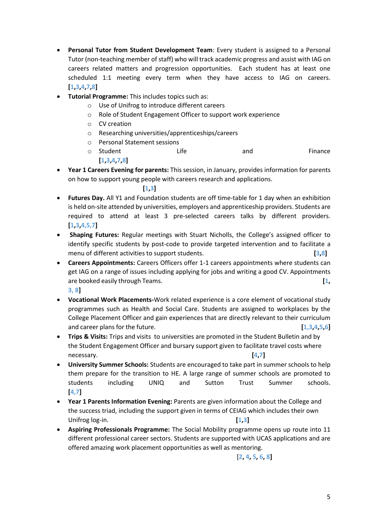- **Personal Tutor from Student Development Team**: Every student is assigned to a Personal Tutor (non-teaching member of staff) who will track academic progress and assist with IAG on careers related matters and progression opportunities. Each student has at least one scheduled 1:1 meeting every term when they have access to IAG on careers. **[1,3,4,7,8]**
- **Tutorial Programme:** This includes topics such as:
	- o Use of Unifrog to introduce different careers
	- o Role of Student Engagement Officer to support work experience
	- o CV creation
	- o Researching universities/apprenticeships/careers
	- o Personal Statement sessions
	- o Student **Life and** Finance **[1,3,4,7,8]**
- **Year 1 Careers Evening for parents:** This session, in January, provides information for parents on how to support young people with careers research and applications.

#### **[1,3]**

- **Futures Day.** All Y1 and Foundation students are off time-table for 1 day when an exhibition is held on-site attended by universities, employers and apprenticeship providers. Students are required to attend at least 3 pre-selected careers talks by different providers. **[1,3,4,5,7]**
- **Shaping Futures:** Regular meetings with Stuart Nicholls, the College's assigned officer to identify specific students by post-code to provide targeted intervention and to facilitate a menu of different activities to support students. **[3,8]**
- **Careers Appointments:** Careers Officers offer 1-1 careers appointments where students can get IAG on a range of issues including applying for jobs and writing a good CV. Appointments are booked easily through Teams. **[1, 3, 8]**
- **Vocational Work Placements-**Work related experience is a core element of vocational study programmes such as Health and Social Care. Students are assigned to workplaces by the College Placement Officer and gain experiences that are directly relevant to their curriculum and career plans for the future. **[1,3,4,5,6]**
- **Trips & Visits:** Trips and visits to universities are promoted in the Student Bulletin and by the Student Engagement Officer and bursary support given to facilitate travel costs where necessary. **[4,7]**
- **University Summer Schools:** Students are encouraged to take part in summer schools to help them prepare for the transition to HE. A large range of summer schools are promoted to students including UNIQ and Sutton Trust Summer schools. **[4,7]**
- **Year 1 Parents Information Evening:** Parents are given information about the College and the success triad, including the support given in terms of CEIAG which includes their own Unifrog log-in. **[1,3]**
- **Aspiring Professionals Programme:** The Social Mobility programme opens up route into 11 different professional career sectors. Students are supported with UCAS applications and are offered amazing work placement opportunities as well as mentoring.

# [**2, 4, 5, 6, 8]**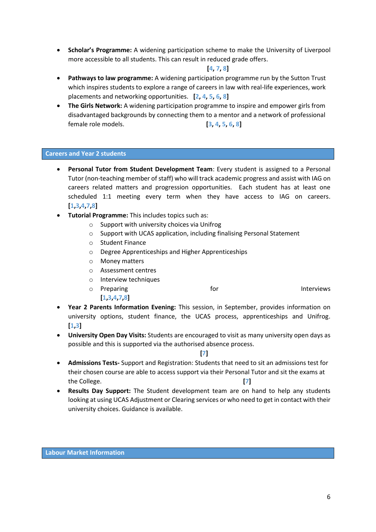• **Scholar's Programme:** A widening participation scheme to make the University of Liverpool more accessible to all students. This can result in reduced grade offers.

## **[4, 7, 8]**

- **Pathways to law programme:** A widening participation programme run by the Sutton Trust which inspires students to explore a range of careers in law with real-life experiences, work placements and networking opportunities. **[2, 4, 5, 6, 8]**
- **The Girls Network:** A widening participation programme to inspire and empower girls from disadvantaged backgrounds by connecting them to a mentor and a network of professional female role models. **[3, 4, 5, 6, 8]**

#### **Careers and Year 2 students**

- **Personal Tutor from Student Development Team**: Every student is assigned to a Personal Tutor (non-teaching member of staff) who will track academic progress and assist with IAG on careers related matters and progression opportunities. Each student has at least one scheduled 1:1 meeting every term when they have access to IAG on careers. **[1,3,4,7,8]**
- **Tutorial Programme:** This includes topics such as:
	- o Support with university choices via Unifrog
	- $\circ$  Support with UCAS application, including finalising Personal Statement
	- o Student Finance
	- o Degree Apprenticeships and Higher Apprenticeships
	- o Money matters

**[1,3,4,7,8]**

- o Assessment centres
- o Interview techniques

o Preparing and Interviews of the Interviews of the Interviews

- **Year 2 Parents Information Evening:** This session, in September, provides information on university options, student finance, the UCAS process, apprenticeships and Unifrog. **[1,3]**
- **University Open Day Visits:** Students are encouraged to visit as many university open days as possible and this is supported via the authorised absence process.

**[7]**

- **Admissions Tests-** Support and Registration: Students that need to sit an admissions test for their chosen course are able to access support via their Personal Tutor and sit the exams at the College. **[7]**
- **Results Day Support:** The Student development team are on hand to help any students looking at using UCAS Adjustment or Clearing services or who need to get in contact with their university choices. Guidance is available.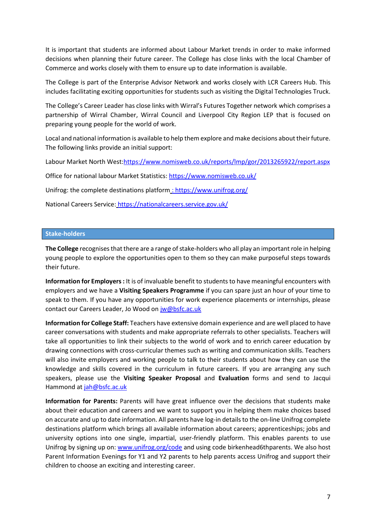It is important that students are informed about Labour Market trends in order to make informed decisions when planning their future career. The College has close links with the local Chamber of Commerce and works closely with them to ensure up to date information is available.

The College is part of the Enterprise Advisor Network and works closely with LCR Careers Hub. This includes facilitating exciting opportunities for students such as visiting the Digital Technologies Truck.

The College's Career Leader has close links with Wirral's Futures Together network which comprises a partnership of Wirral Chamber, Wirral Council and Liverpool City Region LEP that is focused on preparing young people for the world of work.

Local and national information is available to help them explore and make decisions about their future. The following links provide an initial support:

Labour Market North West[:https://www.nomisweb.co.uk/reports/lmp/gor/2013265922/report.aspx](https://www.nomisweb.co.uk/reports/lmp/gor/2013265922/report.aspx)

Office for national labour Market Statistics[: https://www.nomisweb.co.uk/](https://www.nomisweb.co.uk/)

Unifrog: the complete destinations platform [: https://www.unifrog.org/](https://www.unifrog.org/)

National Careers Service: https://nationalcareers.service.gov.uk/

#### **Stake-holders**

**The College** recognises that there are a range of stake-holders who all play an important role in helping young people to explore the opportunities open to them so they can make purposeful steps towards their future.

**Information for Employers:** It is of invaluable benefit to students to have meaningful encounters with employers and we have a **Visiting Speakers Programme** if you can spare just an hour of your time to speak to them. If you have any opportunities for work experience placements or internships, please contact our Careers Leader, Jo Wood o[n jw@bsfc.ac.uk](mailto:jw@bsfc.ac.uk)

**Information for College Staff:** Teachers have extensive domain experience and are well placed to have career conversations with students and make appropriate referrals to other specialists. Teachers will take all opportunities to link their subjects to the world of work and to enrich career education by drawing connections with cross-curricular themes such as writing and communication skills. Teachers will also invite employers and working people to talk to their students about how they can use the knowledge and skills covered in the curriculum in future careers. If you are arranging any such speakers, please use the **Visiting Speaker Proposal** and **Evaluation** forms and send to Jacqui Hammond at [jah@bsfc.ac.uk](mailto:jah@bsfc.ac.uk)

**Information for Parents:** Parents will have great influence over the decisions that students make about their education and careers and we want to support you in helping them make choices based on accurate and up to date information. All parents have log-in details to the on-line Unifrog complete destinations platform which brings all available information about careers; apprenticeships; jobs and university options into one single, impartial, user-friendly platform. This enables parents to use Unifrog by signing up on: [www.unifrog.org/code](http://www.unifrog.org/code) and using code birkenhead6thparents. We also host Parent Information Evenings for Y1 and Y2 parents to help parents access Unifrog and support their children to choose an exciting and interesting career.